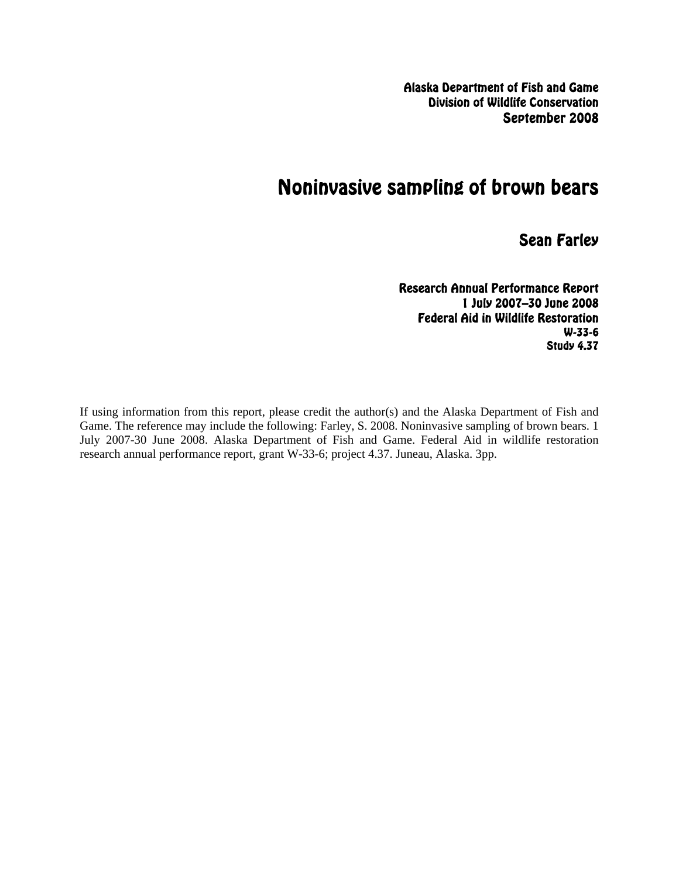Alaska Department of Fish and Game Division of Wildlife Conservation September 2008

# Noninvasive sampling of brown bears

Sean Farley

Research Annual Performance Report 1 July 2007–30 June 2008 Federal Aid in Wildlife Restoration W-33-6 Study 4.37

If using information from this report, please credit the author(s) and the Alaska Department of Fish and Game. The reference may include the following: Farley, S. 2008. Noninvasive sampling of brown bears. 1 July 2007-30 June 2008. Alaska Department of Fish and Game. Federal Aid in wildlife restoration research annual performance report, grant W-33-6; project 4.37. Juneau, Alaska. 3pp.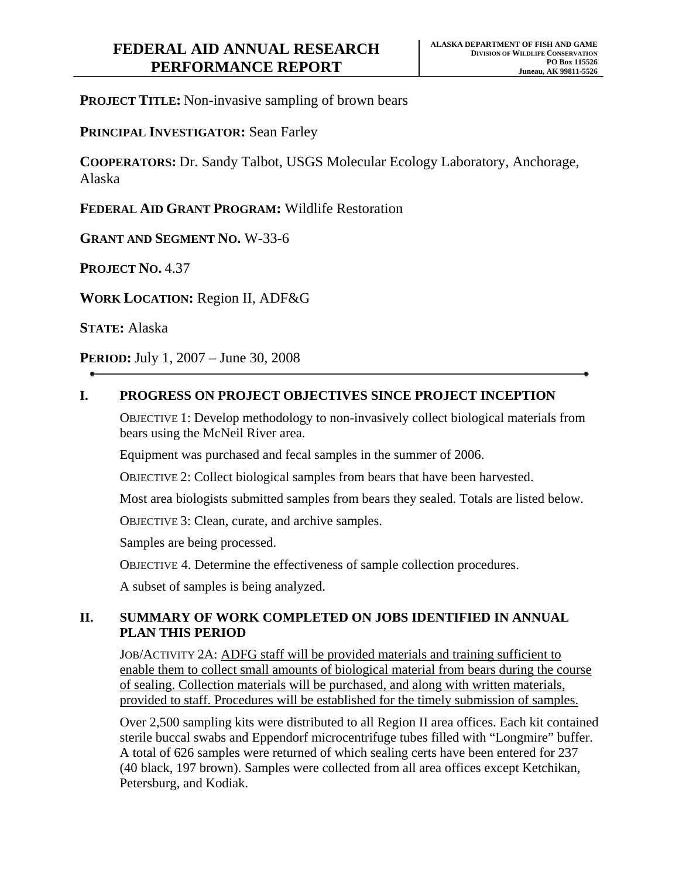**PROJECT TITLE:** Non-invasive sampling of brown bears

**PRINCIPAL INVESTIGATOR:** Sean Farley

**COOPERATORS:** Dr. Sandy Talbot, USGS Molecular Ecology Laboratory, Anchorage, Alaska

**FEDERAL AID GRANT PROGRAM:** Wildlife Restoration

**GRANT AND SEGMENT NO.** W-33-6

**PROJECT NO.** 4.37

**WORK LOCATION:** Region II, ADF&G

**STATE:** Alaska

**PERIOD:** July 1, 2007 – June 30, 2008

#### **I. PROGRESS ON PROJECT OBJECTIVES SINCE PROJECT INCEPTION**

OBJECTIVE 1: Develop methodology to non-invasively collect biological materials from bears using the McNeil River area.

Equipment was purchased and fecal samples in the summer of 2006.

OBJECTIVE 2: Collect biological samples from bears that have been harvested.

Most area biologists submitted samples from bears they sealed. Totals are listed below.

OBJECTIVE 3: Clean, curate, and archive samples.

Samples are being processed.

OBJECTIVE 4. Determine the effectiveness of sample collection procedures.

A subset of samples is being analyzed.

#### **II. SUMMARY OF WORK COMPLETED ON JOBS IDENTIFIED IN ANNUAL PLAN THIS PERIOD**

JOB/ACTIVITY 2A: ADFG staff will be provided materials and training sufficient to enable them to collect small amounts of biological material from bears during the course of sealing. Collection materials will be purchased, and along with written materials, provided to staff. Procedures will be established for the timely submission of samples.

Over 2,500 sampling kits were distributed to all Region II area offices. Each kit contained sterile buccal swabs and Eppendorf microcentrifuge tubes filled with "Longmire" buffer. A total of 626 samples were returned of which sealing certs have been entered for 237 (40 black, 197 brown). Samples were collected from all area offices except Ketchikan, Petersburg, and Kodiak.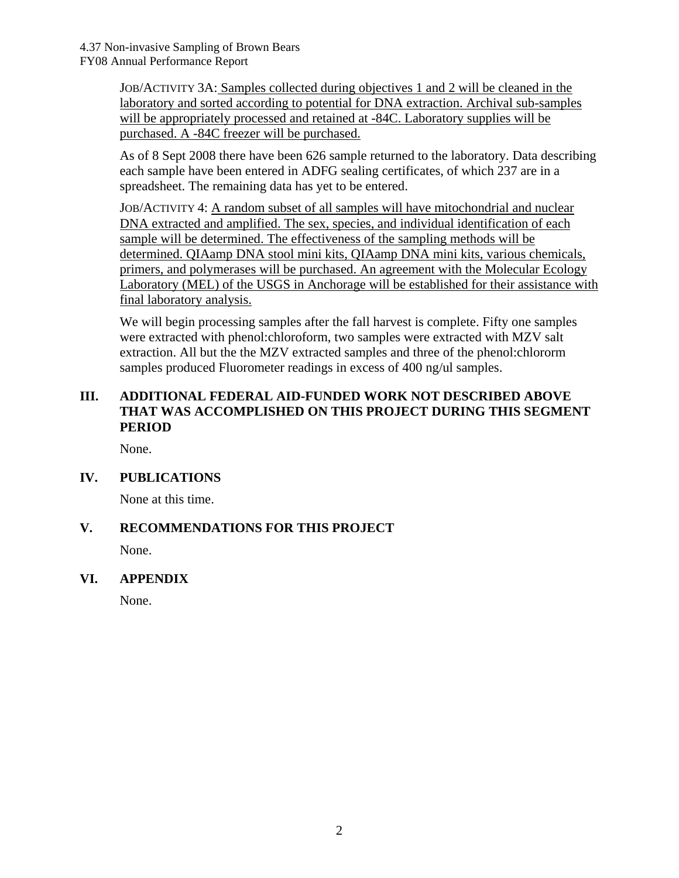JOB/ACTIVITY 3A: Samples collected during objectives 1 and 2 will be cleaned in the laboratory and sorted according to potential for DNA extraction. Archival sub-samples will be appropriately processed and retained at -84C. Laboratory supplies will be purchased. A -84C freezer will be purchased.

As of 8 Sept 2008 there have been 626 sample returned to the laboratory. Data describing each sample have been entered in ADFG sealing certificates, of which 237 are in a spreadsheet. The remaining data has yet to be entered.

JOB/ACTIVITY 4: A random subset of all samples will have mitochondrial and nuclear DNA extracted and amplified. The sex, species, and individual identification of each sample will be determined. The effectiveness of the sampling methods will be determined. QIAamp DNA stool mini kits, QIAamp DNA mini kits, various chemicals, primers, and polymerases will be purchased. An agreement with the Molecular Ecology Laboratory (MEL) of the USGS in Anchorage will be established for their assistance with final laboratory analysis.

We will begin processing samples after the fall harvest is complete. Fifty one samples were extracted with phenol:chloroform, two samples were extracted with MZV salt extraction. All but the the MZV extracted samples and three of the phenol:chlororm samples produced Fluorometer readings in excess of 400 ng/ul samples.

## **III. ADDITIONAL FEDERAL AID-FUNDED WORK NOT DESCRIBED ABOVE THAT WAS ACCOMPLISHED ON THIS PROJECT DURING THIS SEGMENT PERIOD**

None.

## **IV. PUBLICATIONS**

None at this time.

## **V. RECOMMENDATIONS FOR THIS PROJECT**

None.

## **VI. APPENDIX**

None.